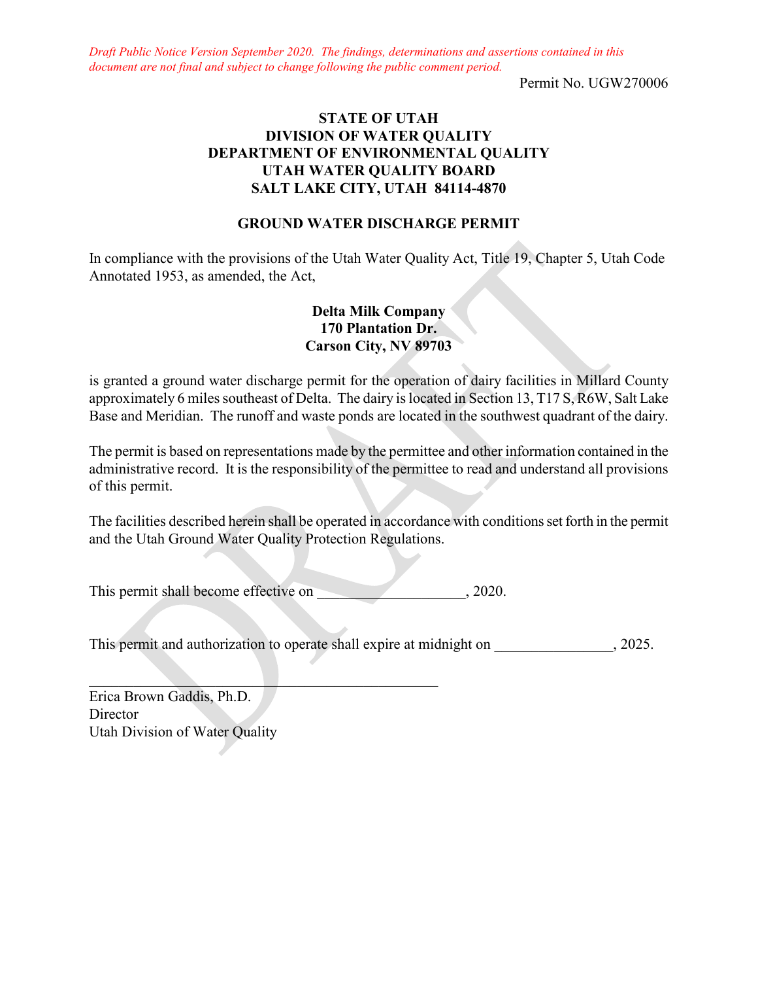*Draft Public Notice Version September 2020. The findings, determinations and assertions contained in this document are not final and subject to change following the public comment period.*

Permit No. UGW270006

## **STATE OF UTAH DIVISION OF WATER QUALITY DEPARTMENT OF ENVIRONMENTAL QUALITY UTAH WATER QUALITY BOARD SALT LAKE CITY, UTAH 84114-4870**

#### **GROUND WATER DISCHARGE PERMIT**

In compliance with the provisions of the Utah Water Quality Act, Title 19, Chapter 5, Utah Code Annotated 1953, as amended, the Act,

## **Delta Milk Company 170 Plantation Dr. Carson City, NV 89703**

is granted a ground water discharge permit for the operation of dairy facilities in Millard County approximately 6 miles southeast of Delta. The dairy is located in Section 13, T17 S, R6W, Salt Lake Base and Meridian. The runoff and waste ponds are located in the southwest quadrant of the dairy.

The permit is based on representations made by the permittee and other information contained in the administrative record. It is the responsibility of the permittee to read and understand all provisions of this permit.

The facilities described herein shall be operated in accordance with conditions set forth in the permit and the Utah Ground Water Quality Protection Regulations.

This permit shall become effective on  $, 2020$ .

 $\mathcal{L}_\text{max}$  and  $\mathcal{L}_\text{max}$  and  $\mathcal{L}_\text{max}$  and  $\mathcal{L}_\text{max}$ 

This permit and authorization to operate shall expire at midnight on  $, 2025$ .

Erica Brown Gaddis, Ph.D. **Director** Utah Division of Water Quality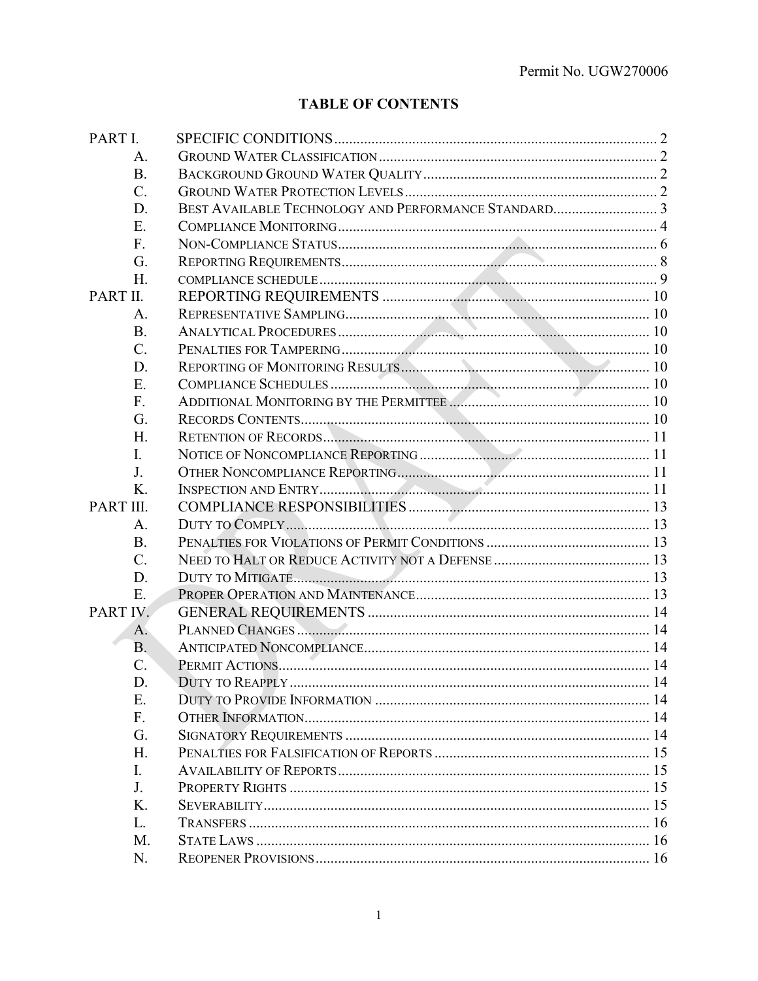# **TABLE OF CONTENTS**

| PART I.     |                        |  |
|-------------|------------------------|--|
| A.          |                        |  |
| <b>B.</b>   |                        |  |
| $C_{\cdot}$ |                        |  |
| D.          |                        |  |
| Ε.          |                        |  |
| $F_{\cdot}$ |                        |  |
| G.          |                        |  |
| H.          |                        |  |
| PART II.    |                        |  |
| A.          |                        |  |
| <b>B.</b>   |                        |  |
| $C$ .       |                        |  |
| D.          |                        |  |
| E.          |                        |  |
| F.          |                        |  |
| G.          |                        |  |
| Η.          |                        |  |
| I.          |                        |  |
| J.          |                        |  |
| K.          |                        |  |
| PART III.   |                        |  |
| A.          |                        |  |
| <b>B.</b>   |                        |  |
| $C$ .       |                        |  |
| D.          |                        |  |
| E.          |                        |  |
| PART IV.    |                        |  |
| A.          |                        |  |
| <b>B.</b>   |                        |  |
| C.          |                        |  |
| D.          | <b>DUTY TO REAPPLY</b> |  |
| Ε.          |                        |  |
| F.          |                        |  |
| G.          |                        |  |
| H.          |                        |  |
| Ι.          |                        |  |
| J.          |                        |  |
| Κ.          |                        |  |
| L.          |                        |  |
| M.          |                        |  |
| N.          |                        |  |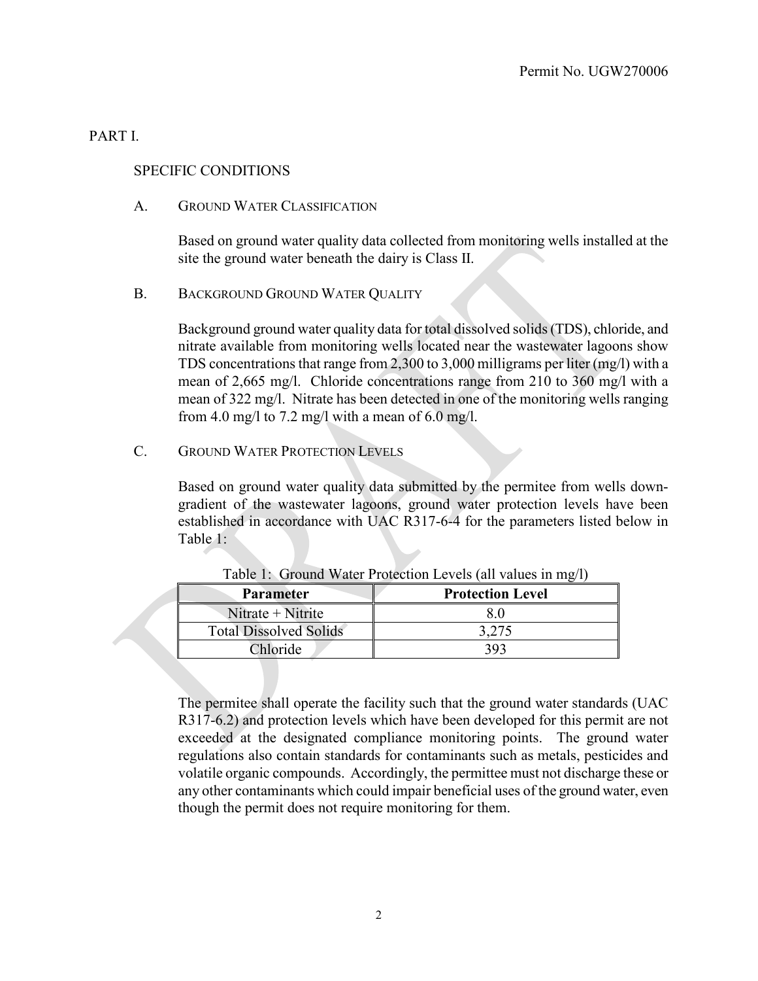### PART I.

### SPECIFIC CONDITIONS

A. GROUND WATER CLASSIFICATION

Based on ground water quality data collected from monitoring wells installed at the site the ground water beneath the dairy is Class II.

B. BACKGROUND GROUND WATER OUALITY

Background ground water quality data for total dissolved solids (TDS), chloride, and nitrate available from monitoring wells located near the wastewater lagoons show TDS concentrations that range from 2,300 to 3,000 milligrams per liter (mg/l) with a mean of 2,665 mg/l. Chloride concentrations range from 210 to 360 mg/l with a mean of 322 mg/l. Nitrate has been detected in one of the monitoring wells ranging from 4.0 mg/l to 7.2 mg/l with a mean of 6.0 mg/l.

C. GROUND WATER PROTECTION LEVELS

Based on ground water quality data submitted by the permitee from wells downgradient of the wastewater lagoons, ground water protection levels have been established in accordance with UAC R317-6-4 for the parameters listed below in Table 1:

| <b>Parameter</b>              | <b>Protection Level</b> |
|-------------------------------|-------------------------|
| Nitrate $+$ Nitrite           | 8.0                     |
| <b>Total Dissolved Solids</b> | 3.275                   |
| Chloride                      | 393                     |

Table 1: Ground Water Protection Levels (all values in mg/l)

The permitee shall operate the facility such that the ground water standards (UAC R317-6.2) and protection levels which have been developed for this permit are not exceeded at the designated compliance monitoring points. The ground water regulations also contain standards for contaminants such as metals, pesticides and volatile organic compounds. Accordingly, the permittee must not discharge these or any other contaminants which could impair beneficial uses of the ground water, even though the permit does not require monitoring for them.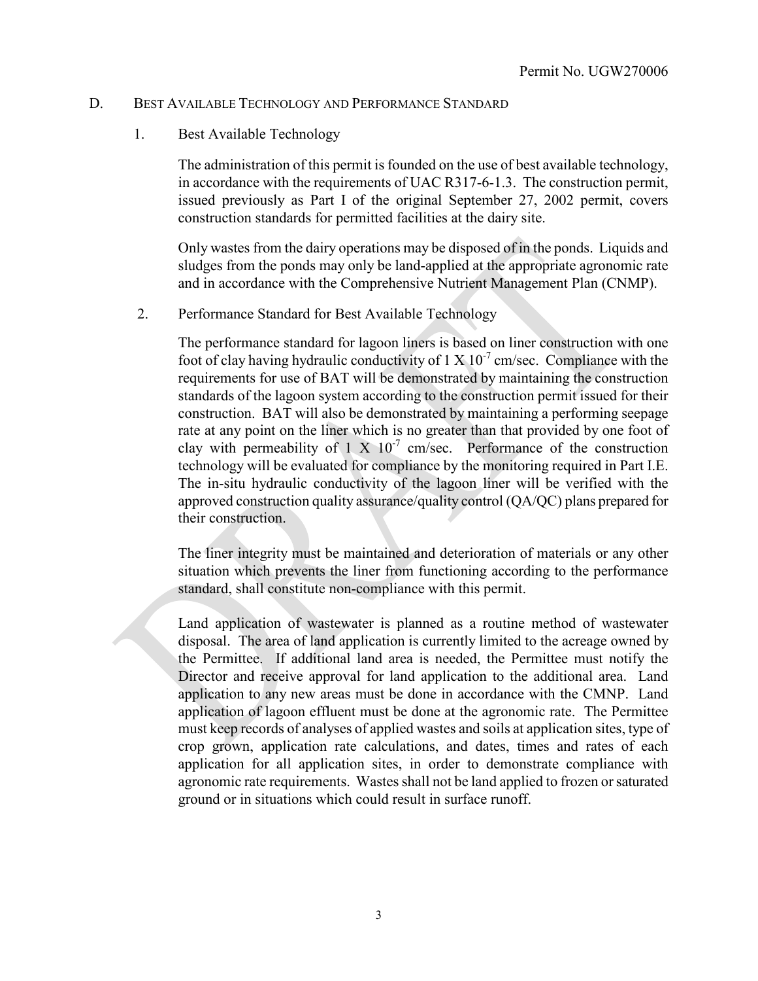#### D. BEST AVAILABLE TECHNOLOGY AND PERFORMANCE STANDARD

#### 1. Best Available Technology

The administration of this permit is founded on the use of best available technology, in accordance with the requirements of UAC R317-6-1.3. The construction permit, issued previously as Part I of the original September 27, 2002 permit, covers construction standards for permitted facilities at the dairy site.

Only wastes from the dairy operations may be disposed of in the ponds. Liquids and sludges from the ponds may only be land-applied at the appropriate agronomic rate and in accordance with the Comprehensive Nutrient Management Plan (CNMP).

2. Performance Standard for Best Available Technology

The performance standard for lagoon liners is based on liner construction with one foot of clay having hydraulic conductivity of  $1 \times 10^{-7}$  cm/sec. Compliance with the requirements for use of BAT will be demonstrated by maintaining the construction standards of the lagoon system according to the construction permit issued for their construction. BAT will also be demonstrated by maintaining a performing seepage rate at any point on the liner which is no greater than that provided by one foot of clay with permeability of 1 X  $10^{-7}$  cm/sec. Performance of the construction technology will be evaluated for compliance by the monitoring required in Part I.E. The in-situ hydraulic conductivity of the lagoon liner will be verified with the approved construction quality assurance/quality control (QA/QC) plans prepared for their construction.

The liner integrity must be maintained and deterioration of materials or any other situation which prevents the liner from functioning according to the performance standard, shall constitute non-compliance with this permit.

Land application of wastewater is planned as a routine method of wastewater disposal. The area of land application is currently limited to the acreage owned by the Permittee. If additional land area is needed, the Permittee must notify the Director and receive approval for land application to the additional area. Land application to any new areas must be done in accordance with the CMNP. Land application of lagoon effluent must be done at the agronomic rate. The Permittee must keep records of analyses of applied wastes and soils at application sites, type of crop grown, application rate calculations, and dates, times and rates of each application for all application sites, in order to demonstrate compliance with agronomic rate requirements. Wastes shall not be land applied to frozen or saturated ground or in situations which could result in surface runoff.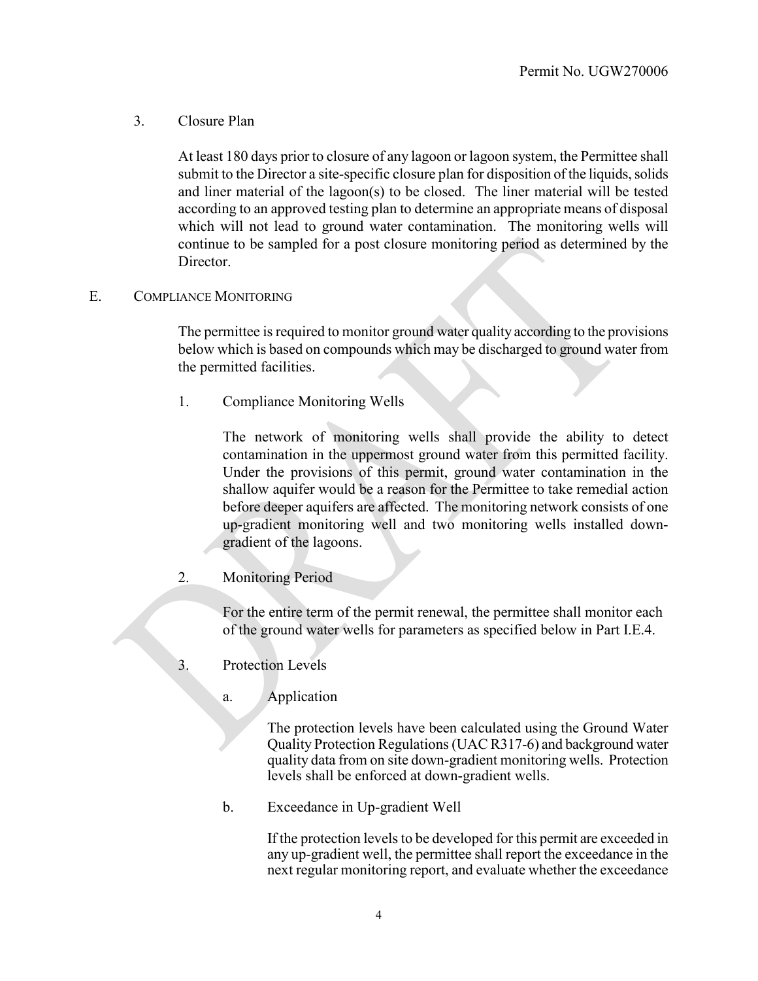3. Closure Plan

At least 180 days prior to closure of any lagoon or lagoon system, the Permittee shall submit to the Director a site-specific closure plan for disposition of the liquids, solids and liner material of the lagoon(s) to be closed. The liner material will be tested according to an approved testing plan to determine an appropriate means of disposal which will not lead to ground water contamination. The monitoring wells will continue to be sampled for a post closure monitoring period as determined by the Director.

### E. COMPLIANCE MONITORING

The permittee is required to monitor ground water quality according to the provisions below which is based on compounds which may be discharged to ground water from the permitted facilities.

1. Compliance Monitoring Wells

The network of monitoring wells shall provide the ability to detect contamination in the uppermost ground water from this permitted facility. Under the provisions of this permit, ground water contamination in the shallow aquifer would be a reason for the Permittee to take remedial action before deeper aquifers are affected. The monitoring network consists of one up-gradient monitoring well and two monitoring wells installed downgradient of the lagoons.

2. Monitoring Period

For the entire term of the permit renewal, the permittee shall monitor each of the ground water wells for parameters as specified below in Part I.E.4.

- 3. Protection Levels
	- a. Application

The protection levels have been calculated using the Ground Water Quality Protection Regulations (UAC R317-6) and background water quality data from on site down-gradient monitoring wells. Protection levels shall be enforced at down-gradient wells.

b. Exceedance in Up-gradient Well

If the protection levels to be developed for this permit are exceeded in any up-gradient well, the permittee shall report the exceedance in the next regular monitoring report, and evaluate whether the exceedance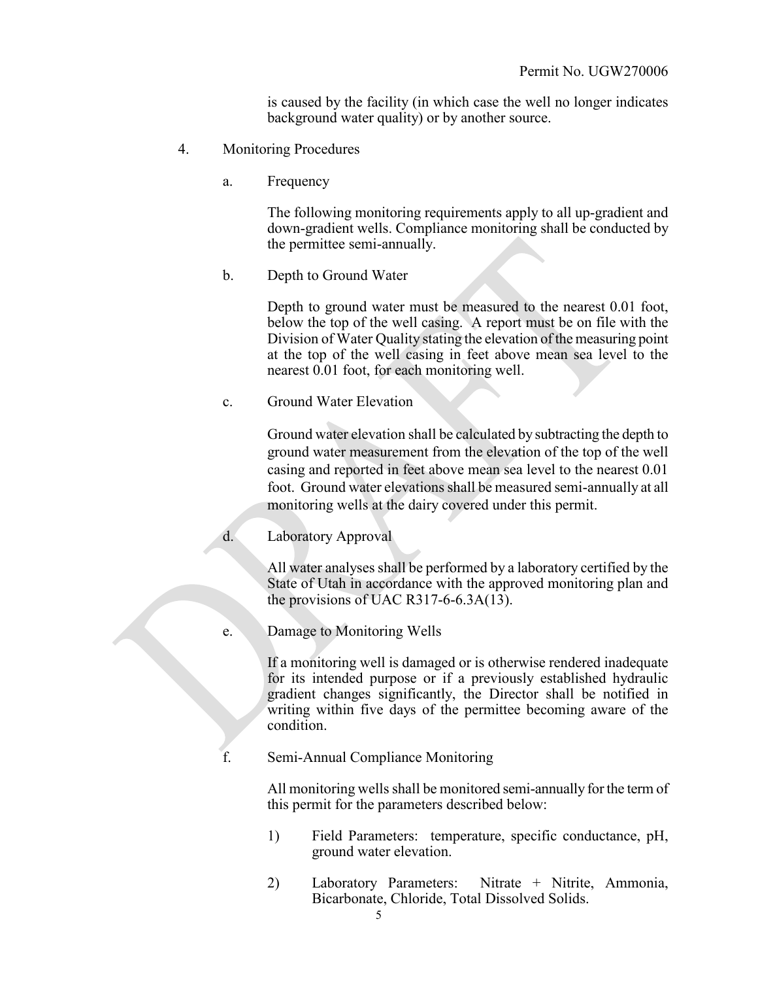is caused by the facility (in which case the well no longer indicates background water quality) or by another source.

- 4. Monitoring Procedures
	- a. Frequency

The following monitoring requirements apply to all up-gradient and down-gradient wells. Compliance monitoring shall be conducted by the permittee semi-annually.

b. Depth to Ground Water

Depth to ground water must be measured to the nearest 0.01 foot, below the top of the well casing. A report must be on file with the Division of Water Quality stating the elevation of the measuring point at the top of the well casing in feet above mean sea level to the nearest 0.01 foot, for each monitoring well.

c. Ground Water Elevation

Ground water elevation shall be calculated by subtracting the depth to ground water measurement from the elevation of the top of the well casing and reported in feet above mean sea level to the nearest 0.01 foot. Ground water elevations shall be measured semi-annually at all monitoring wells at the dairy covered under this permit.

d. Laboratory Approval

All water analyses shall be performed by a laboratory certified by the State of Utah in accordance with the approved monitoring plan and the provisions of UAC R317-6-6.3A $(13)$ .

e. Damage to Monitoring Wells

If a monitoring well is damaged or is otherwise rendered inadequate for its intended purpose or if a previously established hydraulic gradient changes significantly, the Director shall be notified in writing within five days of the permittee becoming aware of the condition.

f. Semi-Annual Compliance Monitoring

All monitoring wells shall be monitored semi-annually for the term of this permit for the parameters described below:

- 1) Field Parameters: temperature, specific conductance, pH, ground water elevation.
- 2) Laboratory Parameters: Nitrate + Nitrite, Ammonia, Bicarbonate, Chloride, Total Dissolved Solids.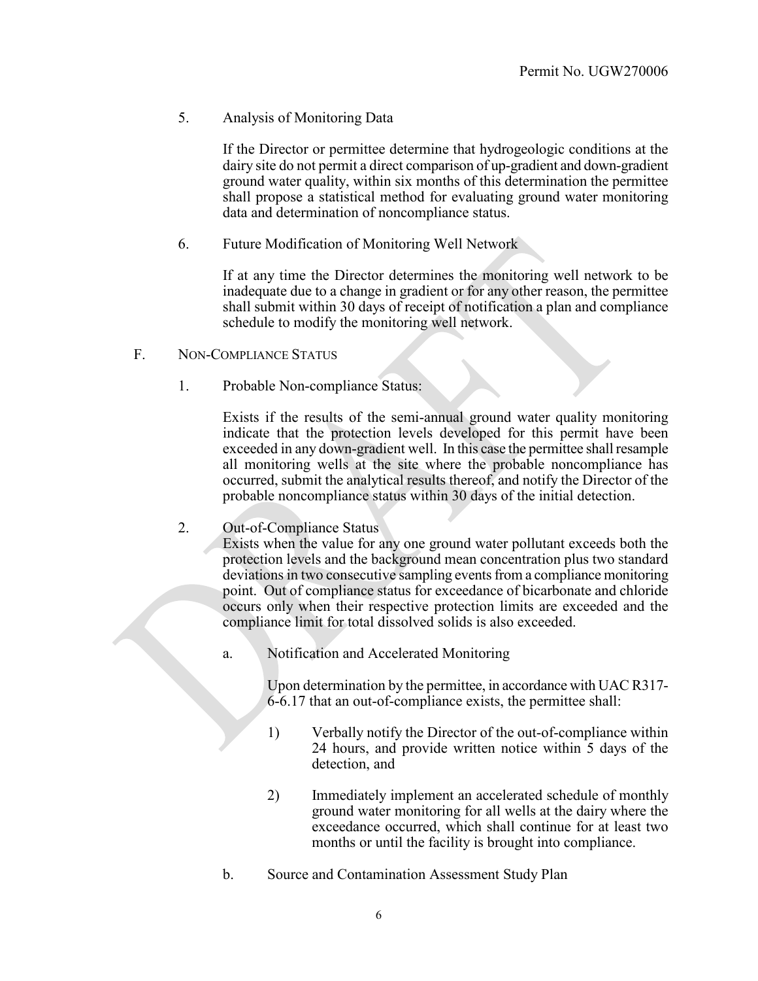5. Analysis of Monitoring Data

If the Director or permittee determine that hydrogeologic conditions at the dairy site do not permit a direct comparison of up-gradient and down-gradient ground water quality, within six months of this determination the permittee shall propose a statistical method for evaluating ground water monitoring data and determination of noncompliance status.

6. Future Modification of Monitoring Well Network

If at any time the Director determines the monitoring well network to be inadequate due to a change in gradient or for any other reason, the permittee shall submit within 30 days of receipt of notification a plan and compliance schedule to modify the monitoring well network.

- F. NON-COMPLIANCE STATUS
	- 1. Probable Non-compliance Status:

Exists if the results of the semi-annual ground water quality monitoring indicate that the protection levels developed for this permit have been exceeded in any down-gradient well. In this case the permittee shall resample all monitoring wells at the site where the probable noncompliance has occurred, submit the analytical results thereof, and notify the Director of the probable noncompliance status within 30 days of the initial detection.

2. Out-of-Compliance Status

Exists when the value for any one ground water pollutant exceeds both the protection levels and the background mean concentration plus two standard deviations in two consecutive sampling events from a compliance monitoring point. Out of compliance status for exceedance of bicarbonate and chloride occurs only when their respective protection limits are exceeded and the compliance limit for total dissolved solids is also exceeded.

a. Notification and Accelerated Monitoring

Upon determination by the permittee, in accordance with UAC R317- 6-6.17 that an out-of-compliance exists, the permittee shall:

- 1) Verbally notify the Director of the out-of-compliance within 24 hours, and provide written notice within 5 days of the detection, and
- 2) Immediately implement an accelerated schedule of monthly ground water monitoring for all wells at the dairy where the exceedance occurred, which shall continue for at least two months or until the facility is brought into compliance.
- b. Source and Contamination Assessment Study Plan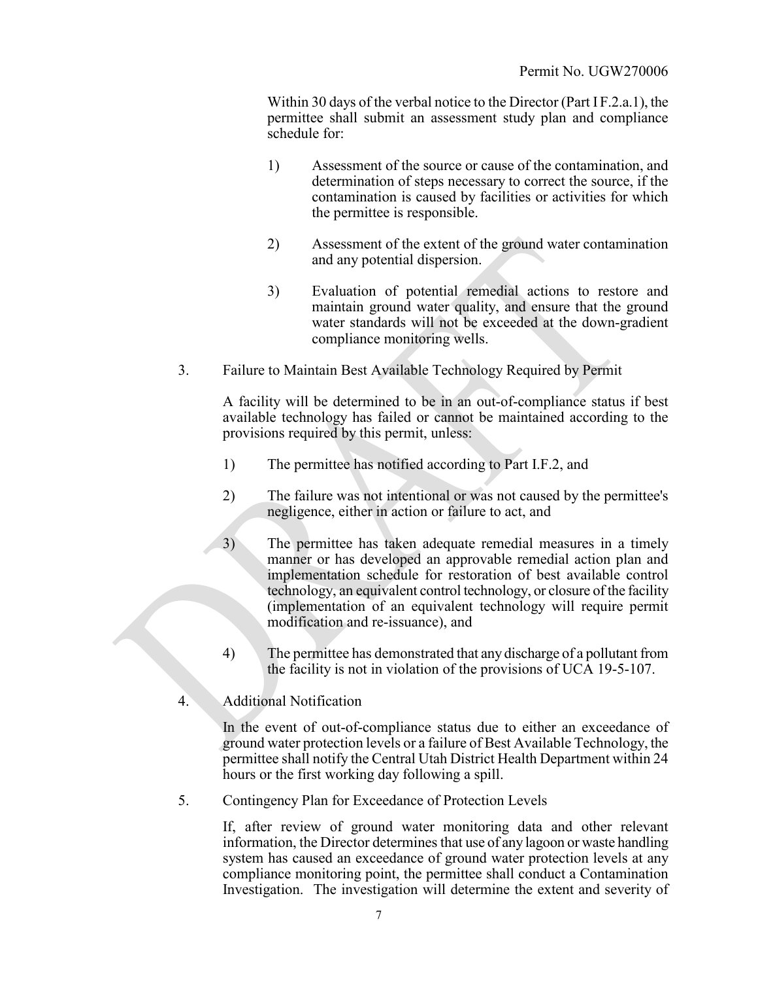Within 30 days of the verbal notice to the Director (Part I F.2.a.1), the permittee shall submit an assessment study plan and compliance schedule for:

- 1) Assessment of the source or cause of the contamination, and determination of steps necessary to correct the source, if the contamination is caused by facilities or activities for which the permittee is responsible.
- 2) Assessment of the extent of the ground water contamination and any potential dispersion.
- 3) Evaluation of potential remedial actions to restore and maintain ground water quality, and ensure that the ground water standards will not be exceeded at the down-gradient compliance monitoring wells.
- 3. Failure to Maintain Best Available Technology Required by Permit

A facility will be determined to be in an out-of-compliance status if best available technology has failed or cannot be maintained according to the provisions required by this permit, unless:

- 1) The permittee has notified according to Part I.F.2, and
- 2) The failure was not intentional or was not caused by the permittee's negligence, either in action or failure to act, and
- 3) The permittee has taken adequate remedial measures in a timely manner or has developed an approvable remedial action plan and implementation schedule for restoration of best available control technology, an equivalent control technology, or closure of the facility (implementation of an equivalent technology will require permit modification and re-issuance), and
- 4) The permittee has demonstrated that any discharge of a pollutant from the facility is not in violation of the provisions of UCA 19-5-107.
- 4. Additional Notification

In the event of out-of-compliance status due to either an exceedance of ground water protection levels or a failure of Best Available Technology, the permittee shall notify the Central Utah District Health Department within 24 hours or the first working day following a spill.

5. Contingency Plan for Exceedance of Protection Levels

If, after review of ground water monitoring data and other relevant information, the Director determines that use of any lagoon or waste handling system has caused an exceedance of ground water protection levels at any compliance monitoring point, the permittee shall conduct a Contamination Investigation. The investigation will determine the extent and severity of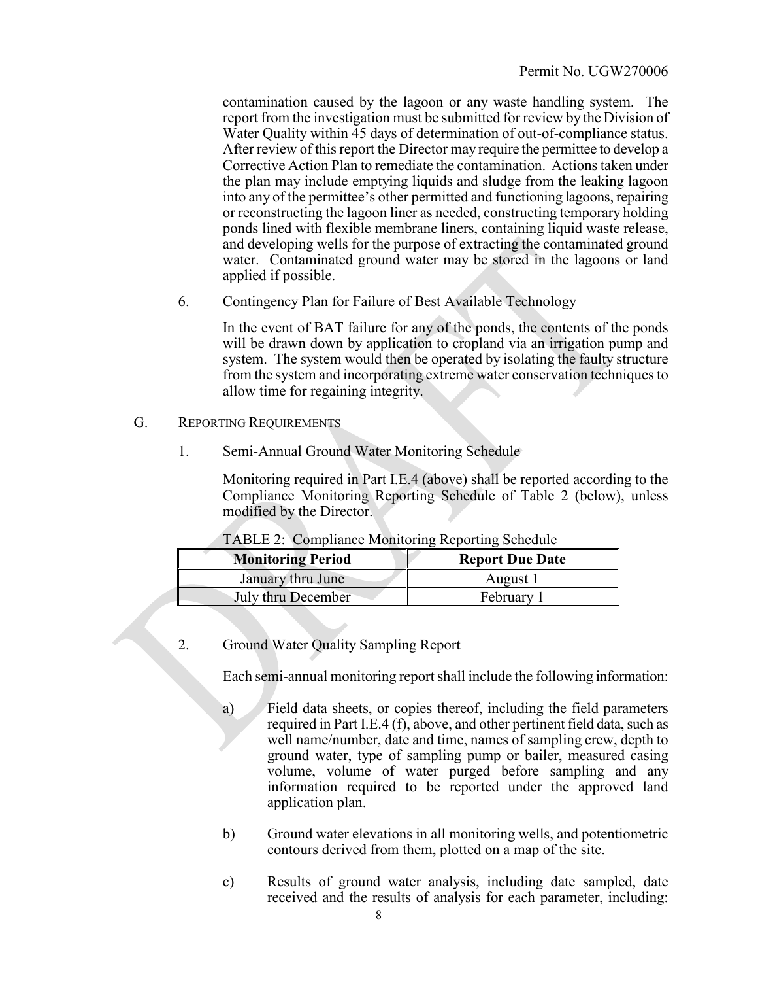contamination caused by the lagoon or any waste handling system. The report from the investigation must be submitted for review by the Division of Water Quality within 45 days of determination of out-of-compliance status. After review of this report the Director may require the permittee to develop a Corrective Action Plan to remediate the contamination. Actions taken under the plan may include emptying liquids and sludge from the leaking lagoon into any of the permittee's other permitted and functioning lagoons, repairing or reconstructing the lagoon liner as needed, constructing temporary holding ponds lined with flexible membrane liners, containing liquid waste release, and developing wells for the purpose of extracting the contaminated ground water. Contaminated ground water may be stored in the lagoons or land applied if possible.

6. Contingency Plan for Failure of Best Available Technology

In the event of BAT failure for any of the ponds, the contents of the ponds will be drawn down by application to cropland via an irrigation pump and system. The system would then be operated by isolating the faulty structure from the system and incorporating extreme water conservation techniques to allow time for regaining integrity.

- G. REPORTING REQUIREMENTS
	- 1. Semi-Annual Ground Water Monitoring Schedule

Monitoring required in Part I.E.4 (above) shall be reported according to the Compliance Monitoring Reporting Schedule of Table 2 (below), unless modified by the Director.

| <b>Monitoring Period</b> | <b>Report Due Date</b> |
|--------------------------|------------------------|
| January thru June        | August 1               |
| July thru December       | February 1             |

## TABLE 2: Compliance Monitoring Reporting Schedule

2. Ground Water Quality Sampling Report

Each semi-annual monitoring report shall include the following information:

- a) Field data sheets, or copies thereof, including the field parameters required in Part I.E.4 (f), above, and other pertinent field data, such as well name/number, date and time, names of sampling crew, depth to ground water, type of sampling pump or bailer, measured casing volume, volume of water purged before sampling and any information required to be reported under the approved land application plan.
- b) Ground water elevations in all monitoring wells, and potentiometric contours derived from them, plotted on a map of the site.
- c) Results of ground water analysis, including date sampled, date received and the results of analysis for each parameter, including: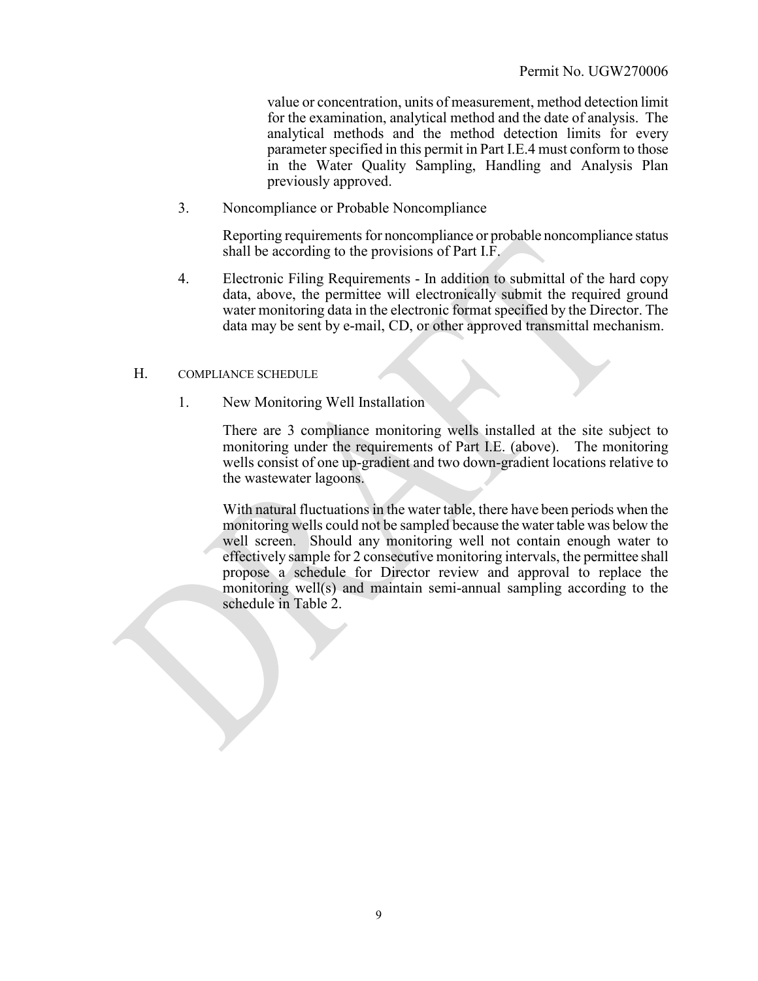value or concentration, units of measurement, method detection limit for the examination, analytical method and the date of analysis. The analytical methods and the method detection limits for every parameter specified in this permit in Part I.E.4 must conform to those in the Water Quality Sampling, Handling and Analysis Plan previously approved.

3. Noncompliance or Probable Noncompliance

Reporting requirements for noncompliance or probable noncompliance status shall be according to the provisions of Part I.F.

4. Electronic Filing Requirements - In addition to submittal of the hard copy data, above, the permittee will electronically submit the required ground water monitoring data in the electronic format specified by the Director. The data may be sent by e-mail, CD, or other approved transmittal mechanism.

#### H. COMPLIANCE SCHEDULE

1. New Monitoring Well Installation

There are 3 compliance monitoring wells installed at the site subject to monitoring under the requirements of Part I.E. (above). The monitoring wells consist of one up-gradient and two down-gradient locations relative to the wastewater lagoons.

With natural fluctuations in the water table, there have been periods when the monitoring wells could not be sampled because the water table was below the well screen. Should any monitoring well not contain enough water to effectively sample for 2 consecutive monitoring intervals, the permittee shall propose a schedule for Director review and approval to replace the monitoring well(s) and maintain semi-annual sampling according to the schedule in Table 2.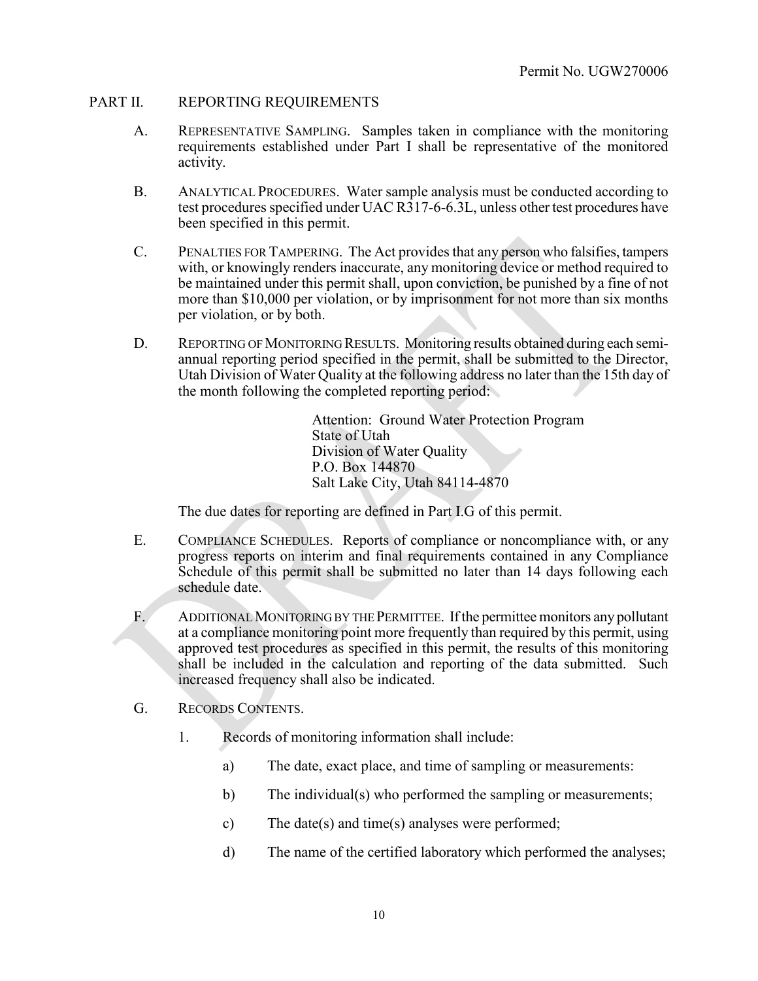### PART II. REPORTING REQUIREMENTS

- A. REPRESENTATIVE SAMPLING. Samples taken in compliance with the monitoring requirements established under Part I shall be representative of the monitored activity.
- B. ANALYTICAL PROCEDURES. Water sample analysis must be conducted according to test procedures specified under UAC R317-6-6.3L, unless other test procedures have been specified in this permit.
- C. PENALTIES FOR TAMPERING. The Act provides that any person who falsifies, tampers with, or knowingly renders inaccurate, any monitoring device or method required to be maintained under this permit shall, upon conviction, be punished by a fine of not more than \$10,000 per violation, or by imprisonment for not more than six months per violation, or by both.
- D. REPORTING OF MONITORING RESULTS. Monitoring results obtained during each semiannual reporting period specified in the permit, shall be submitted to the Director, Utah Division of Water Quality at the following address no later than the 15th day of the month following the completed reporting period:

Attention: Ground Water Protection Program State of Utah Division of Water Quality P.O. Box 144870 Salt Lake City, Utah 84114-4870

The due dates for reporting are defined in Part I.G of this permit.

- E. COMPLIANCE SCHEDULES. Reports of compliance or noncompliance with, or any progress reports on interim and final requirements contained in any Compliance Schedule of this permit shall be submitted no later than 14 days following each schedule date.
- F. ADDITIONAL MONITORING BY THE PERMITTEE. If the permittee monitors any pollutant at a compliance monitoring point more frequently than required by this permit, using approved test procedures as specified in this permit, the results of this monitoring shall be included in the calculation and reporting of the data submitted. Such increased frequency shall also be indicated.
- G. RECORDS CONTENTS.
	- 1. Records of monitoring information shall include:
		- a) The date, exact place, and time of sampling or measurements:
		- b) The individual(s) who performed the sampling or measurements;
		- c) The date(s) and time(s) analyses were performed;
		- d) The name of the certified laboratory which performed the analyses;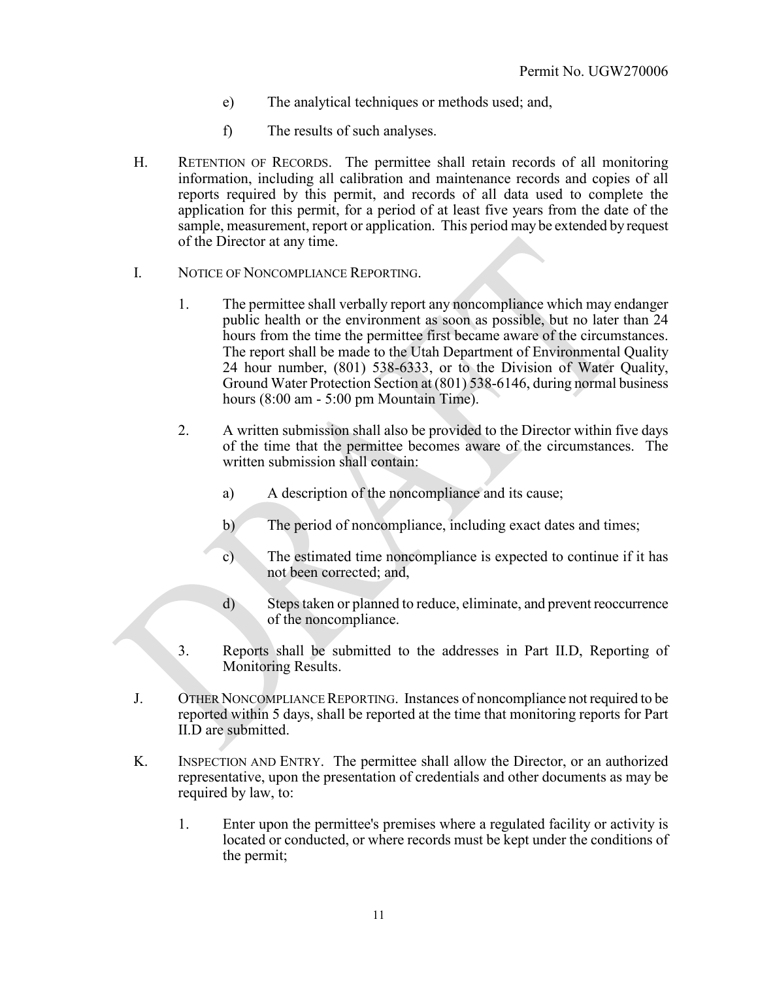- e) The analytical techniques or methods used; and,
- f) The results of such analyses.
- H. RETENTION OF RECORDS. The permittee shall retain records of all monitoring information, including all calibration and maintenance records and copies of all reports required by this permit, and records of all data used to complete the application for this permit, for a period of at least five years from the date of the sample, measurement, report or application. This period may be extended by request of the Director at any time.
- I. NOTICE OF NONCOMPLIANCE REPORTING.
	- 1. The permittee shall verbally report any noncompliance which may endanger public health or the environment as soon as possible, but no later than 24 hours from the time the permittee first became aware of the circumstances. The report shall be made to the Utah Department of Environmental Quality 24 hour number, (801) 538-6333, or to the Division of Water Quality, Ground Water Protection Section at (801) 538-6146, during normal business hours (8:00 am - 5:00 pm Mountain Time).
	- 2. A written submission shall also be provided to the Director within five days of the time that the permittee becomes aware of the circumstances. The written submission shall contain:
		- a) A description of the noncompliance and its cause;
		- b) The period of noncompliance, including exact dates and times;
		- c) The estimated time noncompliance is expected to continue if it has not been corrected; and,
		- d) Steps taken or planned to reduce, eliminate, and prevent reoccurrence of the noncompliance.
	- 3. Reports shall be submitted to the addresses in Part II.D, Reporting of Monitoring Results.
- J. OTHER NONCOMPLIANCE REPORTING. Instances of noncompliance not required to be reported within 5 days, shall be reported at the time that monitoring reports for Part II.D are submitted.
- K. INSPECTION AND ENTRY. The permittee shall allow the Director, or an authorized representative, upon the presentation of credentials and other documents as may be required by law, to:
	- 1. Enter upon the permittee's premises where a regulated facility or activity is located or conducted, or where records must be kept under the conditions of the permit;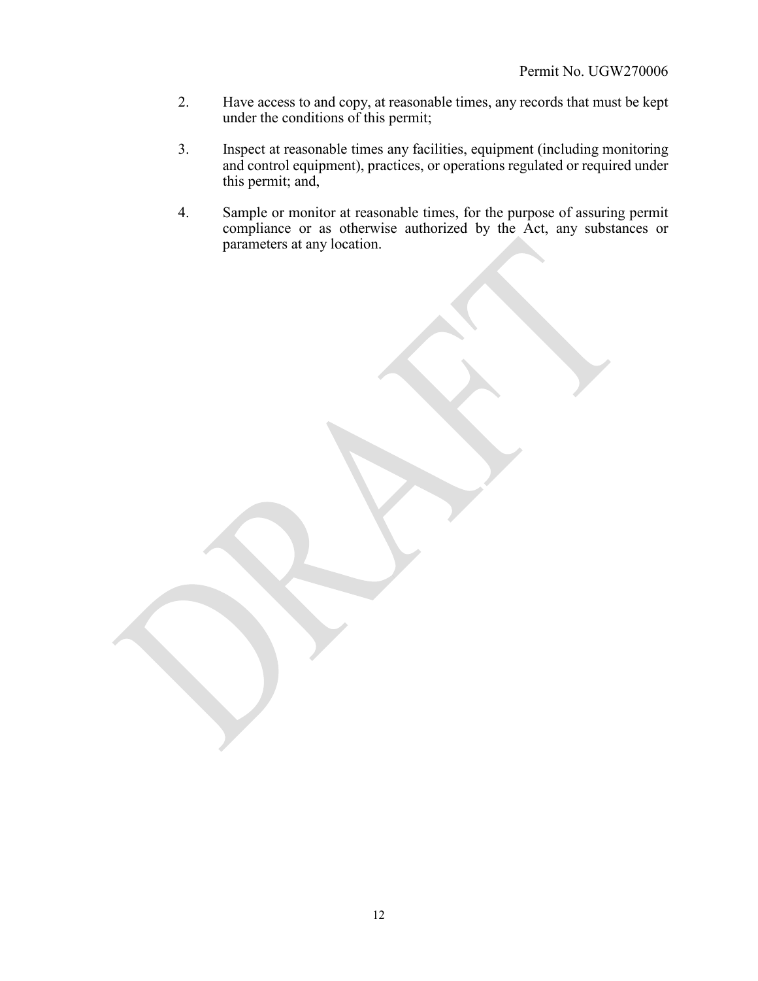- 2. Have access to and copy, at reasonable times, any records that must be kept under the conditions of this permit;
- 3. Inspect at reasonable times any facilities, equipment (including monitoring and control equipment), practices, or operations regulated or required under this permit; and,
- 4. Sample or monitor at reasonable times, for the purpose of assuring permit compliance or as otherwise authorized by the Act, any substances or parameters at any location.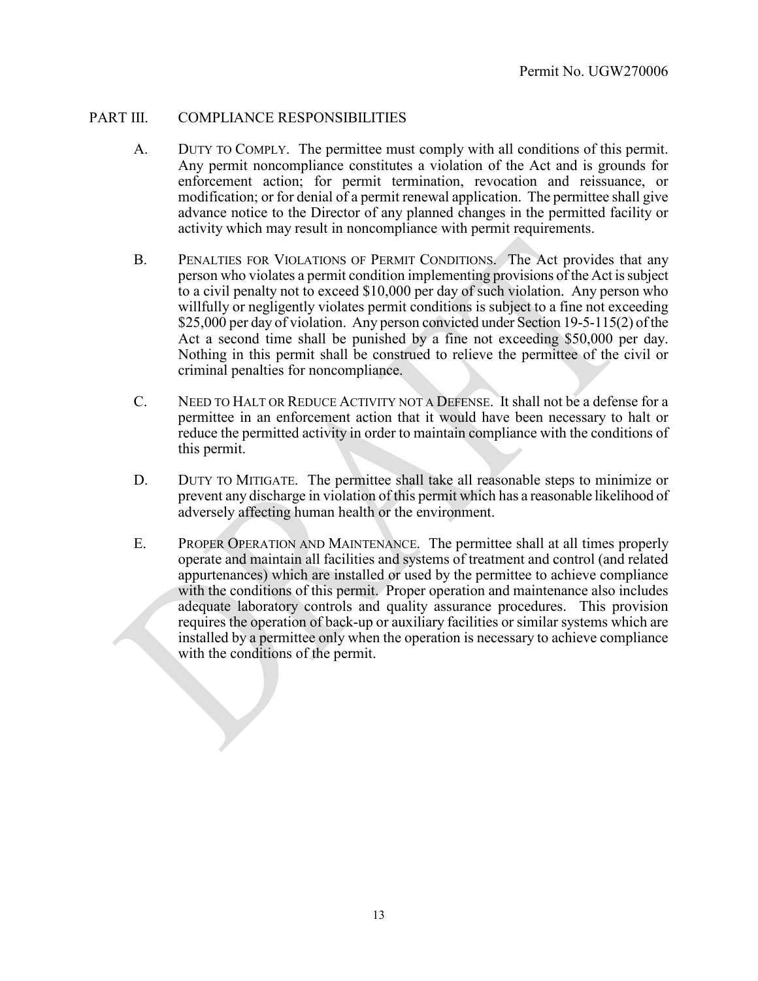#### PART III. COMPLIANCE RESPONSIBILITIES

- A. DUTY TO COMPLY. The permittee must comply with all conditions of this permit. Any permit noncompliance constitutes a violation of the Act and is grounds for enforcement action; for permit termination, revocation and reissuance, or modification; or for denial of a permit renewal application. The permittee shall give advance notice to the Director of any planned changes in the permitted facility or activity which may result in noncompliance with permit requirements.
- B. PENALTIES FOR VIOLATIONS OF PERMIT CONDITIONS. The Act provides that any person who violates a permit condition implementing provisions of the Act is subject to a civil penalty not to exceed \$10,000 per day of such violation. Any person who willfully or negligently violates permit conditions is subject to a fine not exceeding \$25,000 per day of violation. Any person convicted under Section 19-5-115(2) of the Act a second time shall be punished by a fine not exceeding \$50,000 per day. Nothing in this permit shall be construed to relieve the permittee of the civil or criminal penalties for noncompliance.
- C. NEED TO HALT OR REDUCE ACTIVITY NOT A DEFENSE. It shall not be a defense for a permittee in an enforcement action that it would have been necessary to halt or reduce the permitted activity in order to maintain compliance with the conditions of this permit.
- D. DUTY TO MITIGATE. The permittee shall take all reasonable steps to minimize or prevent any discharge in violation of this permit which has a reasonable likelihood of adversely affecting human health or the environment.
- E. PROPER OPERATION AND MAINTENANCE. The permittee shall at all times properly operate and maintain all facilities and systems of treatment and control (and related appurtenances) which are installed or used by the permittee to achieve compliance with the conditions of this permit. Proper operation and maintenance also includes adequate laboratory controls and quality assurance procedures. This provision requires the operation of back-up or auxiliary facilities or similar systems which are installed by a permittee only when the operation is necessary to achieve compliance with the conditions of the permit.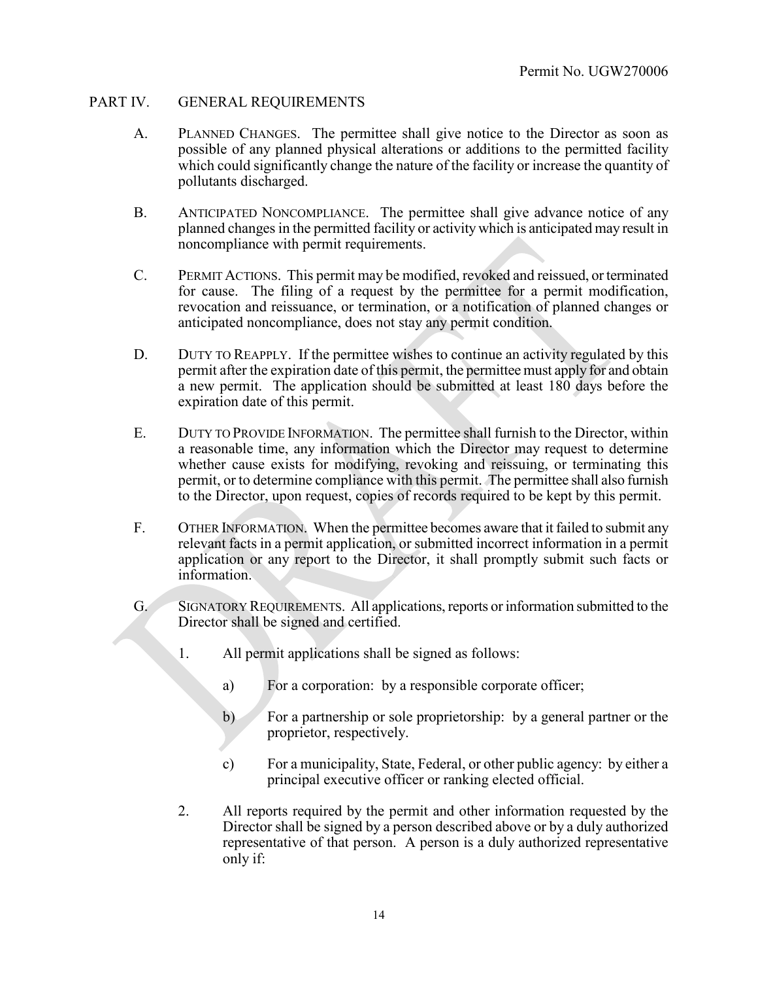### PART IV. GENERAL REQUIREMENTS

- A. PLANNED CHANGES. The permittee shall give notice to the Director as soon as possible of any planned physical alterations or additions to the permitted facility which could significantly change the nature of the facility or increase the quantity of pollutants discharged.
- B. ANTICIPATED NONCOMPLIANCE. The permittee shall give advance notice of any planned changes in the permitted facility or activity which is anticipated may result in noncompliance with permit requirements.
- C. PERMIT ACTIONS. This permit may be modified, revoked and reissued, or terminated for cause. The filing of a request by the permittee for a permit modification, revocation and reissuance, or termination, or a notification of planned changes or anticipated noncompliance, does not stay any permit condition.
- D. DUTY TO REAPPLY. If the permittee wishes to continue an activity regulated by this permit after the expiration date of this permit, the permittee must apply for and obtain a new permit. The application should be submitted at least 180 days before the expiration date of this permit.
- E. DUTY TO PROVIDE INFORMATION. The permittee shall furnish to the Director, within a reasonable time, any information which the Director may request to determine whether cause exists for modifying, revoking and reissuing, or terminating this permit, or to determine compliance with this permit. The permittee shall also furnish to the Director, upon request, copies of records required to be kept by this permit.
- F. OTHER INFORMATION. When the permittee becomes aware that it failed to submit any relevant facts in a permit application, or submitted incorrect information in a permit application or any report to the Director, it shall promptly submit such facts or information.
- G. SIGNATORY REQUIREMENTS. All applications, reports or information submitted to the Director shall be signed and certified.
	- 1. All permit applications shall be signed as follows:
		- a) For a corporation: by a responsible corporate officer;
		- b) For a partnership or sole proprietorship: by a general partner or the proprietor, respectively.
		- c) For a municipality, State, Federal, or other public agency: by either a principal executive officer or ranking elected official.
	- 2. All reports required by the permit and other information requested by the Director shall be signed by a person described above or by a duly authorized representative of that person. A person is a duly authorized representative only if: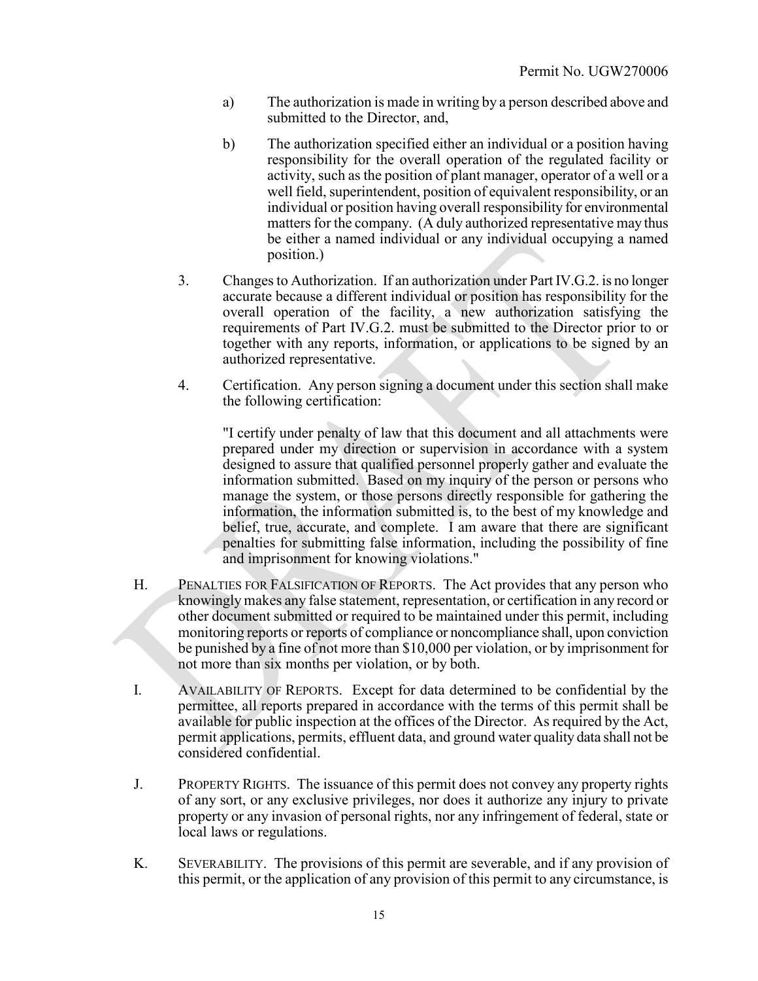- a) The authorization is made in writing by a person described above and submitted to the Director, and,
- b) The authorization specified either an individual or a position having responsibility for the overall operation of the regulated facility or activity, such as the position of plant manager, operator of a well or a well field, superintendent, position of equivalent responsibility, or an individual or position having overall responsibility for environmental matters for the company. (A duly authorized representative may thus be either a named individual or any individual occupying a named position.)
- 3. Changes to Authorization. If an authorization under Part IV.G.2. is no longer accurate because a different individual or position has responsibility for the overall operation of the facility, a new authorization satisfying the requirements of Part IV.G.2. must be submitted to the Director prior to or together with any reports, information, or applications to be signed by an authorized representative.
- 4. Certification. Any person signing a document under this section shall make the following certification:

"I certify under penalty of law that this document and all attachments were prepared under my direction or supervision in accordance with a system designed to assure that qualified personnel properly gather and evaluate the information submitted. Based on my inquiry of the person or persons who manage the system, or those persons directly responsible for gathering the information, the information submitted is, to the best of my knowledge and belief, true, accurate, and complete. I am aware that there are significant penalties for submitting false information, including the possibility of fine and imprisonment for knowing violations."

- H. PENALTIES FOR FALSIFICATION OF REPORTS. The Act provides that any person who knowingly makes any false statement, representation, or certification in any record or other document submitted or required to be maintained under this permit, including monitoring reports or reports of compliance or noncompliance shall, upon conviction be punished by a fine of not more than \$10,000 per violation, or by imprisonment for not more than six months per violation, or by both.
- I. AVAILABILITY OF REPORTS. Except for data determined to be confidential by the permittee, all reports prepared in accordance with the terms of this permit shall be available for public inspection at the offices of the Director. As required by the Act, permit applications, permits, effluent data, and ground water quality data shall not be considered confidential.
- J. PROPERTY RIGHTS. The issuance of this permit does not convey any property rights of any sort, or any exclusive privileges, nor does it authorize any injury to private property or any invasion of personal rights, nor any infringement of federal, state or local laws or regulations.
- K. SEVERABILITY. The provisions of this permit are severable, and if any provision of this permit, or the application of any provision of this permit to any circumstance, is